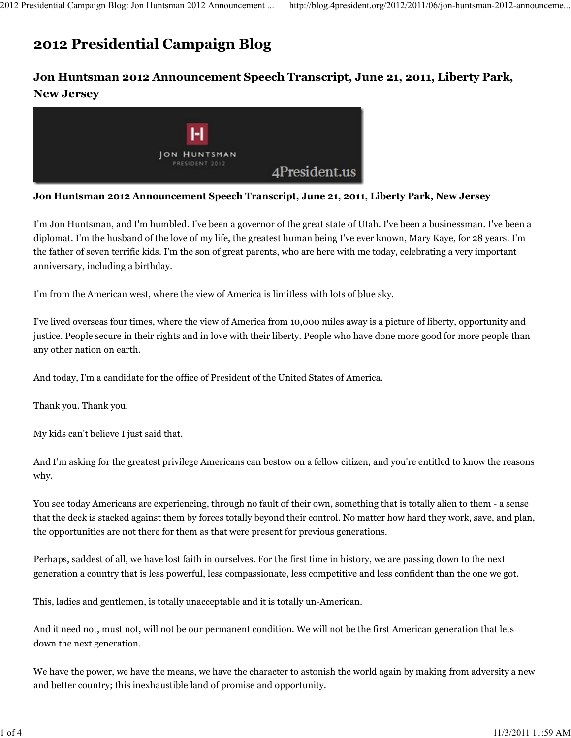## 2012 Presidential Campaign Blog

## Jon Huntsman 2012 Announcement Speech Transcript, June 21, 2011, Liberty Park, New Jersey



Jon Huntsman 2012 Announcement Speech Transcript, June 21, 2011, Liberty Park, New Jersey

I'm Jon Huntsman, and I'm humbled. I've been a governor of the great state of Utah. I've been a businessman. I've been a diplomat. I'm the husband of the love of my life, the greatest human being I've ever known, Mary Kaye, for 28 years. I'm the father of seven terrific kids. I'm the son of great parents, who are here with me today, celebrating a very important anniversary, including a birthday.

I'm from the American west, where the view of America is limitless with lots of blue sky.

I've lived overseas four times, where the view of America from 10,000 miles away is a picture of liberty, opportunity and justice. People secure in their rights and in love with their liberty. People who have done more good for more people than any other nation on earth.

And today, I'm a candidate for the office of President of the United States of America.

Thank you. Thank you.

My kids can't believe I just said that.

And I'm asking for the greatest privilege Americans can bestow on a fellow citizen, and you're entitled to know the reasons why.

You see today Americans are experiencing, through no fault of their own, something that is totally alien to them - a sense that the deck is stacked against them by forces totally beyond their control. No matter how hard they work, save, and plan, the opportunities are not there for them as that were present for previous generations.

Perhaps, saddest of all, we have lost faith in ourselves. For the first time in history, we are passing down to the next generation a country that is less powerful, less compassionate, less competitive and less confident than the one we got.

This, ladies and gentlemen, is totally unacceptable and it is totally un-American.

And it need not, must not, will not be our permanent condition. We will not be the first American generation that lets down the next generation.

We have the power, we have the means, we have the character to astonish the world again by making from adversity a new and better country; this inexhaustible land of promise and opportunity.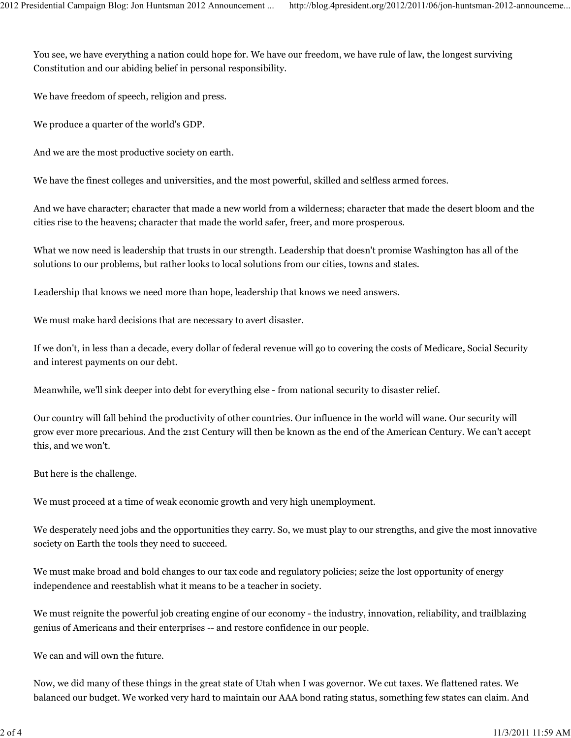You see, we have everything a nation could hope for. We have our freedom, we have rule of law, the longest surviving Constitution and our abiding belief in personal responsibility.

We have freedom of speech, religion and press.

We produce a quarter of the world's GDP.

And we are the most productive society on earth.

We have the finest colleges and universities, and the most powerful, skilled and selfless armed forces.

And we have character; character that made a new world from a wilderness; character that made the desert bloom and the cities rise to the heavens; character that made the world safer, freer, and more prosperous.

What we now need is leadership that trusts in our strength. Leadership that doesn't promise Washington has all of the solutions to our problems, but rather looks to local solutions from our cities, towns and states.

Leadership that knows we need more than hope, leadership that knows we need answers.

We must make hard decisions that are necessary to avert disaster.

If we don't, in less than a decade, every dollar of federal revenue will go to covering the costs of Medicare, Social Security and interest payments on our debt.

Meanwhile, we'll sink deeper into debt for everything else - from national security to disaster relief.

Our country will fall behind the productivity of other countries. Our influence in the world will wane. Our security will grow ever more precarious. And the 21st Century will then be known as the end of the American Century. We can't accept this, and we won't.

But here is the challenge.

We must proceed at a time of weak economic growth and very high unemployment.

We desperately need jobs and the opportunities they carry. So, we must play to our strengths, and give the most innovative society on Earth the tools they need to succeed.

We must make broad and bold changes to our tax code and regulatory policies; seize the lost opportunity of energy independence and reestablish what it means to be a teacher in society.

We must reignite the powerful job creating engine of our economy - the industry, innovation, reliability, and trailblazing genius of Americans and their enterprises -- and restore confidence in our people.

We can and will own the future.

Now, we did many of these things in the great state of Utah when I was governor. We cut taxes. We flattened rates. We balanced our budget. We worked very hard to maintain our AAA bond rating status, something few states can claim. And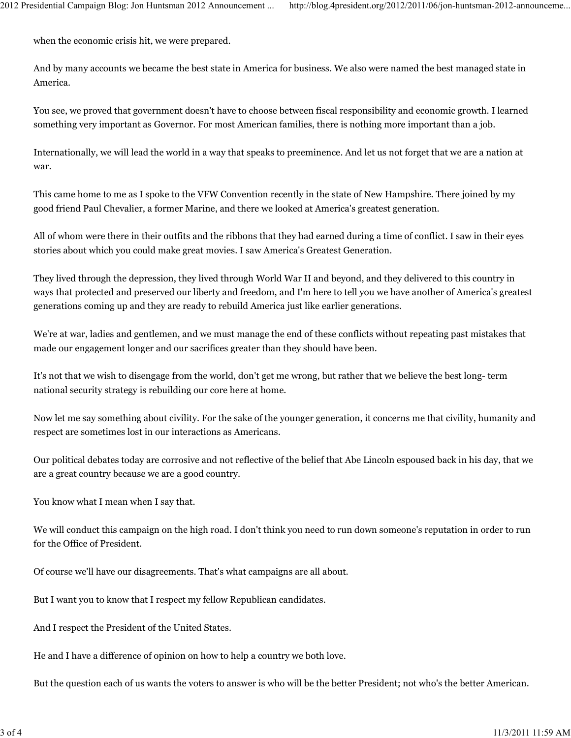when the economic crisis hit, we were prepared.

And by many accounts we became the best state in America for business. We also were named the best managed state in America.

You see, we proved that government doesn't have to choose between fiscal responsibility and economic growth. I learned something very important as Governor. For most American families, there is nothing more important than a job.

Internationally, we will lead the world in a way that speaks to preeminence. And let us not forget that we are a nation at war.

This came home to me as I spoke to the VFW Convention recently in the state of New Hampshire. There joined by my good friend Paul Chevalier, a former Marine, and there we looked at America's greatest generation.

All of whom were there in their outfits and the ribbons that they had earned during a time of conflict. I saw in their eyes stories about which you could make great movies. I saw America's Greatest Generation.

They lived through the depression, they lived through World War II and beyond, and they delivered to this country in ways that protected and preserved our liberty and freedom, and I'm here to tell you we have another of America's greatest generations coming up and they are ready to rebuild America just like earlier generations.

We're at war, ladies and gentlemen, and we must manage the end of these conflicts without repeating past mistakes that made our engagement longer and our sacrifices greater than they should have been.

It's not that we wish to disengage from the world, don't get me wrong, but rather that we believe the best long- term national security strategy is rebuilding our core here at home.

Now let me say something about civility. For the sake of the younger generation, it concerns me that civility, humanity and respect are sometimes lost in our interactions as Americans.

Our political debates today are corrosive and not reflective of the belief that Abe Lincoln espoused back in his day, that we are a great country because we are a good country.

You know what I mean when I say that.

We will conduct this campaign on the high road. I don't think you need to run down someone's reputation in order to run for the Office of President.

Of course we'll have our disagreements. That's what campaigns are all about.

But I want you to know that I respect my fellow Republican candidates.

And I respect the President of the United States.

He and I have a difference of opinion on how to help a country we both love.

But the question each of us wants the voters to answer is who will be the better President; not who's the better American.